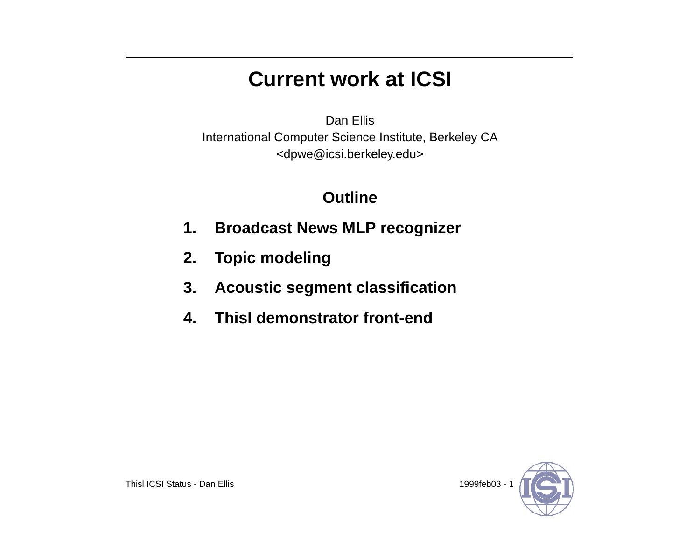# **Current work at ICSI**

Dan Ellis International Computer Science Institute, Berkeley CA <dpwe@icsi.berkeley.edu>

#### **Outline**

- **1. Broadcast News MLP recognizer**
- **2. Topic modeling**
- **3. Acoustic segment classification**
- **4. Thisl demonstrator front-end**

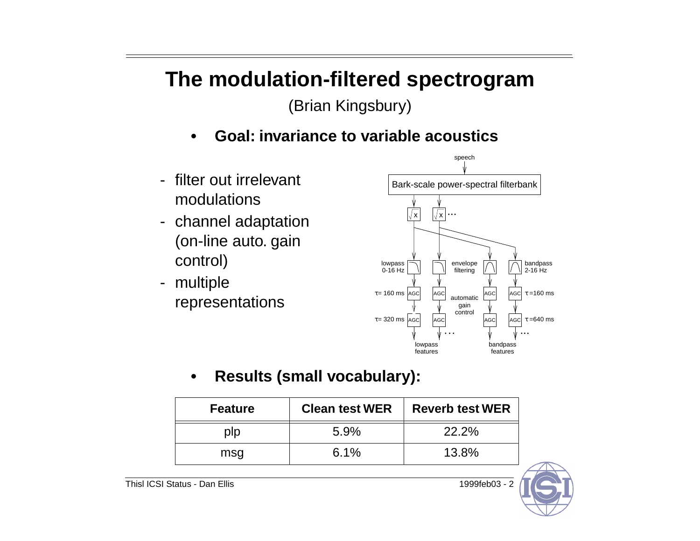# **The modulation-filtered spectrogram**

(Brian Kingsbury)

- **• Goal: invariance to variable acoustics**
- filter out irrelevant modulations
- channel adaptation (on-line auto. gain control)
- multiple representations



**• Results (small vocabulary):**

| <b>Feature</b> | <b>Clean test WER</b> | <b>Reverb test WER</b> |
|----------------|-----------------------|------------------------|
| plp            | 5.9%                  | 22.2%                  |
| msg            | 6.1%                  | 13.8%                  |

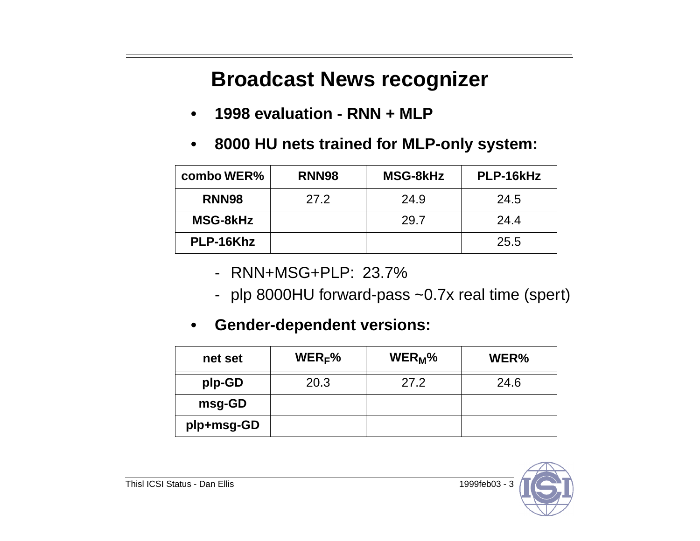# **Broadcast News recognizer**

- **• 1998 evaluation - RNN + MLP**
- **• 8000 HU nets trained for MLP-only system:**

| combo WER%        | RNN <sub>98</sub> | <b>MSG-8kHz</b> | PLP-16kHz |
|-------------------|-------------------|-----------------|-----------|
| RNN <sub>98</sub> | 27.2              | 24.9            | 24.5      |
| <b>MSG-8kHz</b>   |                   | 29.7            | 24.4      |
| PLP-16Khz         |                   |                 | 25.5      |

- RNN+MSG+PLP: 23.7%
- plp 8000HU forward-pass ~0.7x real time (spert)

#### **• Gender-dependent versions:**

| net set    | $WER_F%$ | WER <sub>M</sub> % | WER% |
|------------|----------|--------------------|------|
| plp-GD     | 20.3     | 27.2               | 24.6 |
| msg-GD     |          |                    |      |
| plp+msg-GD |          |                    |      |

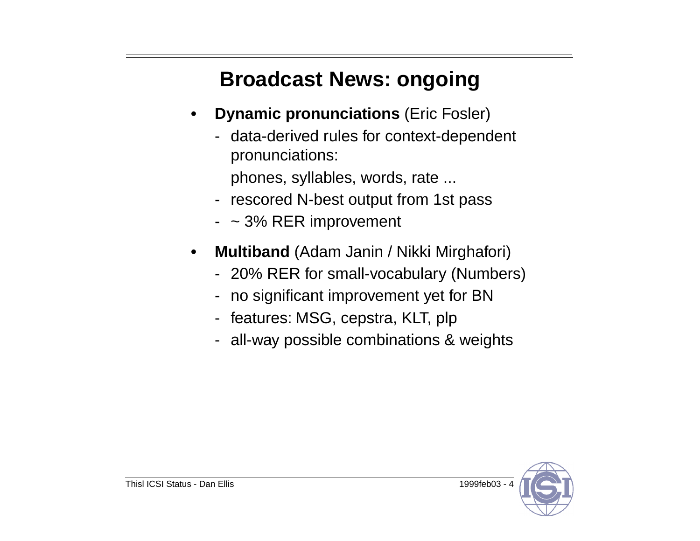# **Broadcast News: ongoing**

- **• Dynamic pronunciations** (Eric Fosler)
	- data-derived rules for context-dependent pronunciations:
		- phones, syllables, words, rate ...
	- rescored N-best output from 1st pass
	- ~ 3% RER improvement
- **• Multiband** (Adam Janin / Nikki Mirghafori)
	- 20% RER for small-vocabulary (Numbers)
	- no significant improvement yet for BN
	- features: MSG, cepstra, KLT, plp
	- all-way possible combinations & weights

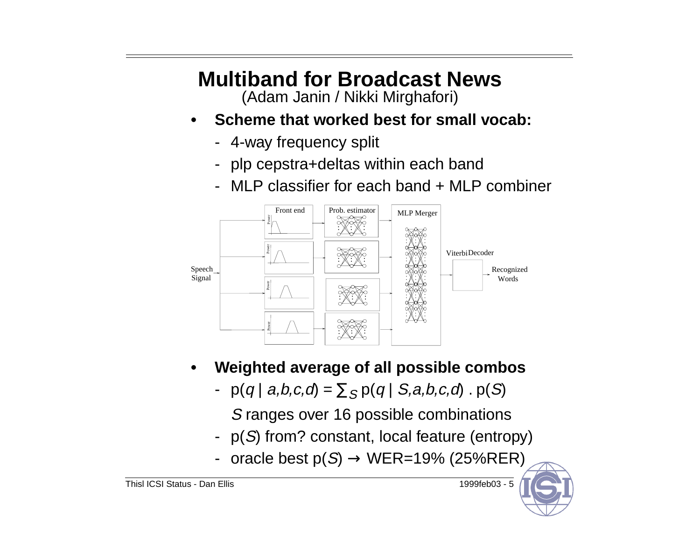# **Multiband for Broadcast News**

(Adam Janin / Nikki Mirghafori)

- **• Scheme that worked best for small vocab:**
	- 4-way frequency split
	- plp cepstra+deltas within each band
	- MLP classifier for each band + MLP combiner



- **• Weighted average of all possible combos**
	- p(q | a,b,c,d) =  $\sum_{\mathcal{S}}$  p(q | S,a,b,c,d)  $.$  p(S)
		- S ranges over 16 possible combinations
	- p( S) from? constant, local feature (entropy)
	- oracle best  $p(S) \rightarrow WER=19\%$  (25%RER)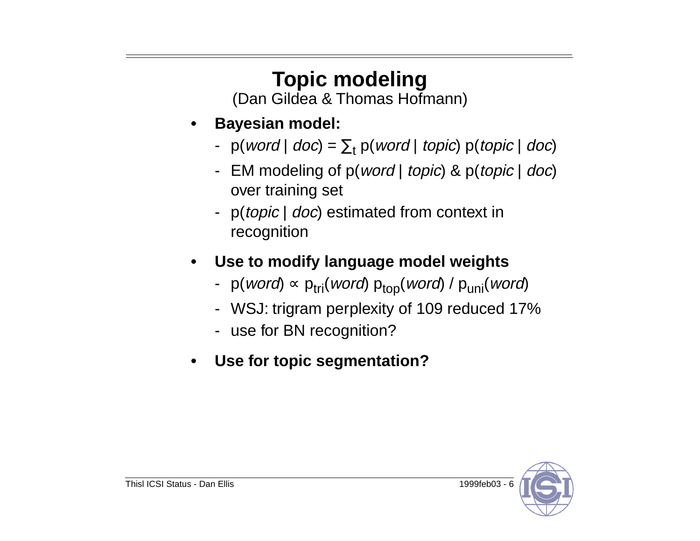# **Topic modeling**

(Dan Gildea & Thomas Hofmann)

- **• Bayesian model:**
	- $p(word | doc) = \sum_{t} p(word | topic) p(topic | doc)$
	- EM modeling of p(*word | topic*) & p(*topic | doc*) over training set
	- p(*topic* | *doc*) estimated from context in recognition
- **• Use to modify language model weights**
	- − p(*word*) ∞ p<sub>tri</sub>(word) p<sub>top</sub>(word) / p<sub>uni</sub>(word)
	- WSJ: trigram perplexity of 109 reduced 17%
	- use for BN recognition?
- **• Use for topic segmentation?**

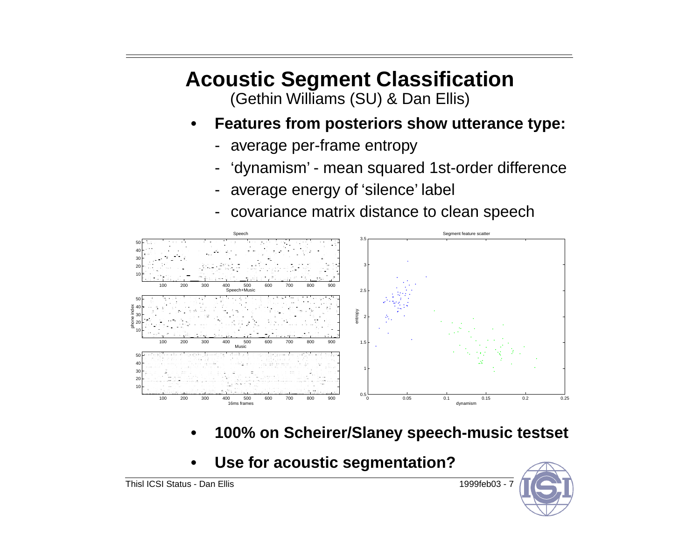# **Acoustic Segment Classification**

(Gethin Williams (SU) & Dan Ellis)

- **• Features from posteriors show utterance type:**
	- average per-frame entropy
	- -'dynamism' - mean squared 1st-order difference
	- average energy of 'silence' label
	- covariance matrix distance to clean speech



- **• 100% on Scheirer/Slaney speech-music testset**
- **• Use for acoustic segmentation?**